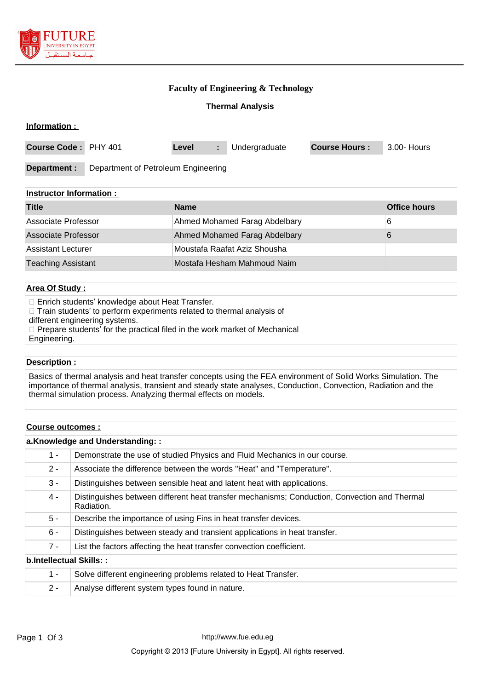

### **Faculty of Engineering & Technology**

### **Thermal Analysis**

| Information :        |                                     |       |    |               |                      |             |
|----------------------|-------------------------------------|-------|----|---------------|----------------------|-------------|
| Course Code: PHY 401 |                                     | Level | a. | Undergraduate | <b>Course Hours:</b> | 3.00- Hours |
| Department :         | Department of Petroleum Engineering |       |    |               |                      |             |

| <b>Instructor Information:</b> |                               |              |
|--------------------------------|-------------------------------|--------------|
| <b>Title</b>                   | <b>Name</b>                   | Office hours |
| Associate Professor            | Ahmed Mohamed Farag Abdelbary | 6            |
| Associate Professor            | Ahmed Mohamed Farag Abdelbary | 6            |
| Assistant Lecturer             | Moustafa Raafat Aziz Shousha  |              |
| <b>Teaching Assistant</b>      | Mostafa Hesham Mahmoud Naim   |              |

#### **Area Of Study :**

Enrich students' knowledge about Heat Transfer.

 $\Box$  Train students' to perform experiments related to thermal analysis of

different engineering systems.

□ Prepare students' for the practical filed in the work market of Mechanical

Engineering.

#### **Description :**

Basics of thermal analysis and heat transfer concepts using the FEA environment of Solid Works Simulation. The importance of thermal analysis, transient and steady state analyses, Conduction, Convection, Radiation and the thermal simulation process. Analyzing thermal effects on models.

#### **Course outcomes :**

| a.Knowledge and Understanding:: |                                                                                                            |  |  |
|---------------------------------|------------------------------------------------------------------------------------------------------------|--|--|
| $1 -$                           | Demonstrate the use of studied Physics and Fluid Mechanics in our course.                                  |  |  |
| $2 -$                           | Associate the difference between the words "Heat" and "Temperature".                                       |  |  |
| $3 -$                           | Distinguishes between sensible heat and latent heat with applications.                                     |  |  |
| $4 -$                           | Distinguishes between different heat transfer mechanisms; Conduction, Convection and Thermal<br>Radiation. |  |  |
| $5 -$                           | Describe the importance of using Fins in heat transfer devices.                                            |  |  |
| $6 -$                           | Distinguishes between steady and transient applications in heat transfer.                                  |  |  |
| $7 -$                           | List the factors affecting the heat transfer convection coefficient.                                       |  |  |
| b.Intellectual Skills::         |                                                                                                            |  |  |
| $1 -$                           | Solve different engineering problems related to Heat Transfer.                                             |  |  |
| $2 -$                           | Analyse different system types found in nature.                                                            |  |  |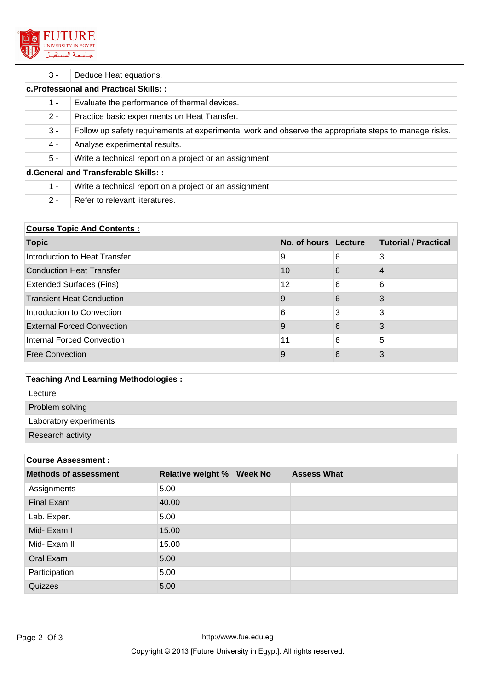

| $3 -$                                        | Deduce Heat equations.                                                                                |  |  |
|----------------------------------------------|-------------------------------------------------------------------------------------------------------|--|--|
| <b>c.Professional and Practical Skills::</b> |                                                                                                       |  |  |
| 1 -                                          | Evaluate the performance of thermal devices.                                                          |  |  |
| $2 -$                                        | Practice basic experiments on Heat Transfer.                                                          |  |  |
| $3 -$                                        | Follow up safety requirements at experimental work and observe the appropriate steps to manage risks. |  |  |
| $4 -$                                        | Analyse experimental results.                                                                         |  |  |
| 5 -                                          | Write a technical report on a project or an assignment.                                               |  |  |
| d. General and Transferable Skills::         |                                                                                                       |  |  |
| $1 -$                                        | Write a technical report on a project or an assignment.                                               |  |  |
| $2 -$                                        | Refer to relevant literatures.                                                                        |  |  |

## **Course Topic And Contents :**

| <b>Topic</b>                      | No. of hours Lecture |   | <b>Tutorial / Practical</b> |
|-----------------------------------|----------------------|---|-----------------------------|
| Introduction to Heat Transfer     | 9                    | 6 | 3                           |
| <b>Conduction Heat Transfer</b>   | 10                   | 6 | 4                           |
| <b>Extended Surfaces (Fins)</b>   | 12                   | 6 | 6                           |
| <b>Transient Heat Conduction</b>  | 9                    | 6 | 3                           |
| Introduction to Convection        | 6                    | 3 | 3                           |
| <b>External Forced Convection</b> | 9                    | 6 | 3                           |
| <b>Internal Forced Convection</b> | 11                   | 6 | 5                           |
| <b>Free Convection</b>            | 9                    | 6 | 3                           |

# **Teaching And Learning Methodologies :**

| Lecture |
|---------|
|---------|

Problem solving

Laboratory experiments

Research activity

### **Course Assessment :**

| <b>Methods of assessment</b> | <b>Relative weight % Week No</b> | <b>Assess What</b> |
|------------------------------|----------------------------------|--------------------|
| Assignments                  | 5.00                             |                    |
| Final Exam                   | 40.00                            |                    |
| Lab. Exper.                  | 5.00                             |                    |
| Mid-Exam I                   | 15.00                            |                    |
| Mid- Exam II                 | 15.00                            |                    |
| Oral Exam                    | 5.00                             |                    |
| Participation                | 5.00                             |                    |
| Quizzes                      | 5.00                             |                    |